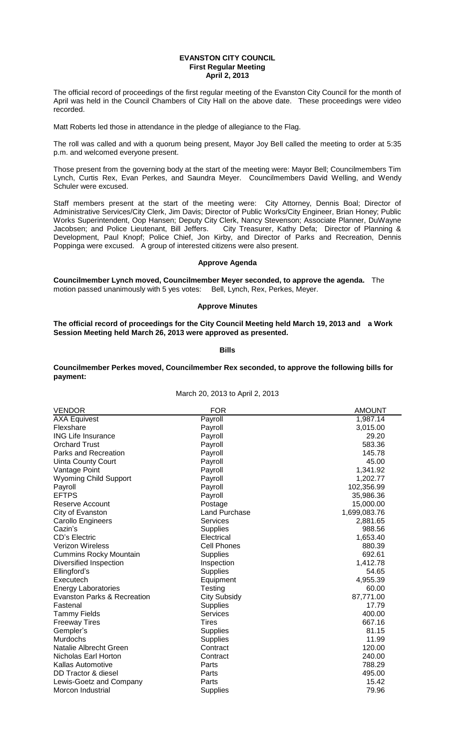### **EVANSTON CITY COUNCIL First Regular Meeting April 2, 2013**

The official record of proceedings of the first regular meeting of the Evanston City Council for the month of April was held in the Council Chambers of City Hall on the above date. These proceedings were video recorded.

Matt Roberts led those in attendance in the pledge of allegiance to the Flag.

The roll was called and with a quorum being present, Mayor Joy Bell called the meeting to order at 5:35 p.m. and welcomed everyone present.

Those present from the governing body at the start of the meeting were: Mayor Bell; Councilmembers Tim Lynch, Curtis Rex, Evan Perkes, and Saundra Meyer. Councilmembers David Welling, and Wendy Schuler were excused.

Staff members present at the start of the meeting were: City Attorney, Dennis Boal; Director of Administrative Services/City Clerk, Jim Davis; Director of Public Works/City Engineer, Brian Honey; Public Works Superintendent, Oop Hansen; Deputy City Clerk, Nancy Stevenson; Associate Planner, DuWayne Jacobsen; and Police Lieutenant, Bill Jeffers. City Treasurer, Kathy Defa; Director of Planning & Development, Paul Knopf; Police Chief, Jon Kirby, and Director of Parks and Recreation, Dennis Poppinga were excused. A group of interested citizens were also present.

# **Approve Agenda**

**Councilmember Lynch moved, Councilmember Meyer seconded, to approve the agenda.** The motion passed unanimously with 5 yes votes: Bell, Lynch, Rex, Perkes, Meyer.

# **Approve Minutes**

**The official record of proceedings for the City Council Meeting held March 19, 2013 and a Work Session Meeting held March 26, 2013 were approved as presented.** 

### **Bills**

# **Councilmember Perkes moved, Councilmember Rex seconded, to approve the following bills for payment:**

March 20, 2013 to April 2, 2013

| <b>VENDOR</b>                 | <b>FOR</b>         | <b>AMOUNT</b> |
|-------------------------------|--------------------|---------------|
| <b>AXA Equivest</b>           | Payroll            | 1,987.14      |
| Flexshare                     | Payroll            | 3,015.00      |
| <b>ING Life Insurance</b>     | Payroll            | 29.20         |
| <b>Orchard Trust</b>          | Payroll            | 583.36        |
| Parks and Recreation          | Payroll            | 145.78        |
| Uinta County Court            | Payroll            | 45.00         |
| Vantage Point                 | Payroll            | 1,341.92      |
| <b>Wyoming Child Support</b>  | Payroll            | 1,202.77      |
| Payroll                       | Payroll            | 102,356.99    |
| <b>EFTPS</b>                  | Payroll            | 35,986.36     |
| Reserve Account               | Postage            | 15,000.00     |
| City of Evanston              | Land Purchase      | 1,699,083.76  |
| Carollo Engineers             | <b>Services</b>    | 2,881.65      |
| Cazin's                       | <b>Supplies</b>    | 988.56        |
| <b>CD's Electric</b>          | Electrical         | 1,653.40      |
| <b>Verizon Wireless</b>       | <b>Cell Phones</b> | 880.39        |
| <b>Cummins Rocky Mountain</b> | <b>Supplies</b>    | 692.61        |
| Diversified Inspection        | Inspection         | 1,412.78      |
| Ellingford's                  | <b>Supplies</b>    | 54.65         |
| Executech                     | Equipment          | 4,955.39      |
| <b>Energy Laboratories</b>    | Testing            | 60.00         |
| Evanston Parks & Recreation   | City Subsidy       | 87,771.00     |
| Fastenal                      | <b>Supplies</b>    | 17.79         |
| <b>Tammy Fields</b>           | <b>Services</b>    | 400.00        |
| <b>Freeway Tires</b>          | <b>Tires</b>       | 667.16        |
| Gempler's                     | <b>Supplies</b>    | 81.15         |
| <b>Murdochs</b>               | <b>Supplies</b>    | 11.99         |
| Natalie Albrecht Green        | Contract           | 120.00        |
| Nicholas Earl Horton          | Contract           | 240.00        |
| <b>Kallas Automotive</b>      | Parts              | 788.29        |
| DD Tractor & diesel           | Parts              | 495.00        |
| Lewis-Goetz and Company       | Parts              | 15.42         |
| Morcon Industrial             | <b>Supplies</b>    | 79.96         |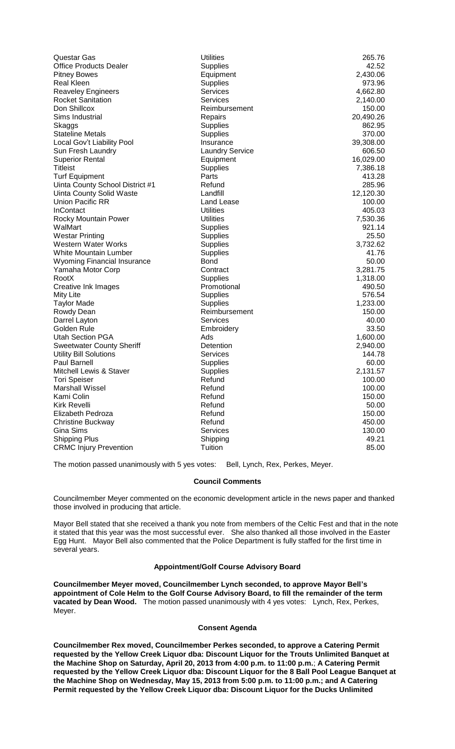| Questar Gas                        | <b>Utilities</b>       | 265.76    |
|------------------------------------|------------------------|-----------|
| <b>Office Products Dealer</b>      | <b>Supplies</b>        | 42.52     |
| <b>Pitney Bowes</b>                | Equipment              | 2,430.06  |
| <b>Real Kleen</b>                  | <b>Supplies</b>        | 973.96    |
| Reaveley Engineers                 | <b>Services</b>        | 4,662.80  |
| <b>Rocket Sanitation</b>           | <b>Services</b>        | 2,140.00  |
| Don Shillcox                       | Reimbursement          | 150.00    |
| Sims Industrial                    | Repairs                | 20,490.26 |
| Skaggs                             | <b>Supplies</b>        | 862.95    |
| <b>Stateline Metals</b>            | <b>Supplies</b>        | 370.00    |
| Local Gov't Liability Pool         | Insurance              | 39,308.00 |
| Sun Fresh Laundry                  | <b>Laundry Service</b> | 606.50    |
| <b>Superior Rental</b>             | Equipment              | 16,029.00 |
| <b>Titleist</b>                    | <b>Supplies</b>        | 7,386.18  |
| <b>Turf Equipment</b>              | Parts                  | 413.28    |
| Uinta County School District #1    | Refund                 | 285.96    |
| <b>Uinta County Solid Waste</b>    | Landfill               | 12,120.30 |
| <b>Union Pacific RR</b>            | Land Lease             | 100.00    |
| <b>InContact</b>                   | <b>Utilities</b>       | 405.03    |
| <b>Rocky Mountain Power</b>        | <b>Utilities</b>       | 7,530.36  |
| WalMart                            | <b>Supplies</b>        | 921.14    |
| <b>Westar Printing</b>             | <b>Supplies</b>        | 25.50     |
| Western Water Works                | <b>Supplies</b>        | 3,732.62  |
| <b>White Mountain Lumber</b>       | <b>Supplies</b>        | 41.76     |
| <b>Wyoming Financial Insurance</b> | <b>Bond</b>            | 50.00     |
| Yamaha Motor Corp                  | Contract               | 3,281.75  |
| RootX                              | <b>Supplies</b>        | 1,318.00  |
| Creative Ink Images                | Promotional            | 490.50    |
| <b>Mity Lite</b>                   | <b>Supplies</b>        | 576.54    |
| <b>Taylor Made</b>                 | <b>Supplies</b>        | 1,233.00  |
| Rowdy Dean                         | Reimbursement          | 150.00    |
| Darrel Layton                      | Services               | 40.00     |
| Golden Rule                        | Embroidery             | 33.50     |
| <b>Utah Section PGA</b>            | Ads                    | 1,600.00  |
| <b>Sweetwater County Sheriff</b>   | Detention              | 2,940.00  |
| <b>Utility Bill Solutions</b>      | <b>Services</b>        | 144.78    |
| Paul Barnell                       | <b>Supplies</b>        | 60.00     |
| Mitchell Lewis & Staver            | <b>Supplies</b>        | 2,131.57  |
| <b>Tori Speiser</b>                | Refund                 | 100.00    |
| <b>Marshall Wissel</b>             | Refund                 | 100.00    |
| Kami Colin                         | Refund                 | 150.00    |
| <b>Kirk Revelli</b>                | Refund                 | 50.00     |
| Elizabeth Pedroza                  | Refund                 | 150.00    |
| <b>Christine Buckway</b>           | Refund                 | 450.00    |
| Gina Sims                          | <b>Services</b>        | 130.00    |
| <b>Shipping Plus</b>               | Shipping               | 49.21     |
| <b>CRMC Injury Prevention</b>      | Tuition                | 85.00     |
|                                    |                        |           |

The motion passed unanimously with 5 yes votes: Bell, Lynch, Rex, Perkes, Meyer.

# **Council Comments**

Councilmember Meyer commented on the economic development article in the news paper and thanked those involved in producing that article.

Mayor Bell stated that she received a thank you note from members of the Celtic Fest and that in the note it stated that this year was the most successful ever. She also thanked all those involved in the Easter Egg Hunt. Mayor Bell also commented that the Police Department is fully staffed for the first time in several years.

## **Appointment/Golf Course Advisory Board**

**Councilmember Meyer moved, Councilmember Lynch seconded, to approve Mayor Bell's appointment of Cole Helm to the Golf Course Advisory Board, to fill the remainder of the term vacated by Dean Wood.** The motion passed unanimously with 4 yes votes: Lynch, Rex, Perkes, Meyer.

### **Consent Agenda**

**Councilmember Rex moved, Councilmember Perkes seconded, to approve a Catering Permit requested by the Yellow Creek Liquor dba: Discount Liquor for the Trouts Unlimited Banquet at the Machine Shop on Saturday, April 20, 2013 from 4:00 p.m. to 11:00 p.m.**; **A Catering Permit requested by the Yellow Creek Liquor dba: Discount Liquor for the 8 Ball Pool League Banquet at the Machine Shop on Wednesday, May 15, 2013 from 5:00 p.m. to 11:00 p.m.; and A Catering Permit requested by the Yellow Creek Liquor dba: Discount Liquor for the Ducks Unlimited**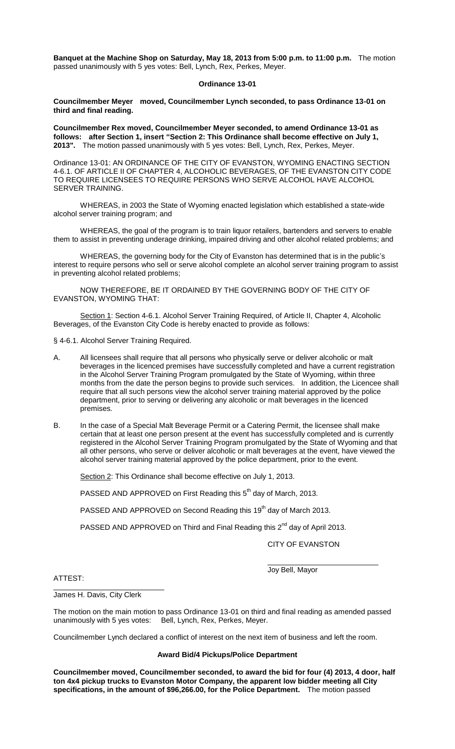**Banquet at the Machine Shop on Saturday, May 18, 2013 from 5:00 p.m. to 11:00 p.m.** The motion passed unanimously with 5 yes votes: Bell, Lynch, Rex, Perkes, Meyer.

# **Ordinance 13-01**

**Councilmember Meyer moved, Councilmember Lynch seconded, to pass Ordinance 13-01 on third and final reading.**

**Councilmember Rex moved, Councilmember Meyer seconded, to amend Ordinance 13-01 as follows: after Section 1, insert "Section 2: This Ordinance shall become effective on July 1, 2013".** The motion passed unanimously with 5 yes votes: Bell, Lynch, Rex, Perkes, Meyer.

Ordinance 13-01: AN ORDINANCE OF THE CITY OF EVANSTON, WYOMING ENACTING SECTION 4-6.1. OF ARTICLE II OF CHAPTER 4, ALCOHOLIC BEVERAGES, OF THE EVANSTON CITY CODE TO REQUIRE LICENSEES TO REQUIRE PERSONS WHO SERVE ALCOHOL HAVE ALCOHOL SERVER TRAINING.

WHEREAS, in 2003 the State of Wyoming enacted legislation which established a state-wide alcohol server training program; and

WHEREAS, the goal of the program is to train liquor retailers, bartenders and servers to enable them to assist in preventing underage drinking, impaired driving and other alcohol related problems; and

WHEREAS, the governing body for the City of Evanston has determined that is in the public's interest to require persons who sell or serve alcohol complete an alcohol server training program to assist in preventing alcohol related problems;

NOW THEREFORE, BE IT ORDAINED BY THE GOVERNING BODY OF THE CITY OF EVANSTON, WYOMING THAT:

Section 1: Section 4-6.1. Alcohol Server Training Required, of Article II, Chapter 4, Alcoholic Beverages, of the Evanston City Code is hereby enacted to provide as follows:

§ 4-6.1. Alcohol Server Training Required.

- A. All licensees shall require that all persons who physically serve or deliver alcoholic or malt beverages in the licenced premises have successfully completed and have a current registration in the Alcohol Server Training Program promulgated by the State of Wyoming, within three months from the date the person begins to provide such services. In addition, the Licencee shall require that all such persons view the alcohol server training material approved by the police department, prior to serving or delivering any alcoholic or malt beverages in the licenced premises.
- B. In the case of a Special Malt Beverage Permit or a Catering Permit, the licensee shall make certain that at least one person present at the event has successfully completed and is currently registered in the Alcohol Server Training Program promulgated by the State of Wyoming and that all other persons, who serve or deliver alcoholic or malt beverages at the event, have viewed the alcohol server training material approved by the police department, prior to the event.

Section 2: This Ordinance shall become effective on July 1, 2013.

PASSED AND APPROVED on First Reading this 5<sup>th</sup> day of March, 2013.

PASSED AND APPROVED on Second Reading this 19<sup>th</sup> day of March 2013.

PASSED AND APPROVED on Third and Final Reading this 2<sup>nd</sup> day of April 2013.

CITY OF EVANSTON

\_\_\_\_\_\_\_\_\_\_\_\_\_\_\_\_\_\_\_\_\_\_\_\_\_\_\_

ATTEST:

Joy Bell, Mayor

\_\_\_\_\_\_\_\_\_\_\_\_\_\_\_\_\_\_\_\_\_\_\_\_\_\_\_ James H. Davis, City Clerk

The motion on the main motion to pass Ordinance 13-01 on third and final reading as amended passed unanimously with 5 yes votes: Bell, Lynch, Rex, Perkes, Meyer.

Councilmember Lynch declared a conflict of interest on the next item of business and left the room.

#### **Award Bid/4 Pickups/Police Department**

**Councilmember moved, Councilmember seconded, to award the bid for four (4) 2013, 4 door, half ton 4x4 pickup trucks to Evanston Motor Company, the apparent low bidder meeting all City specifications, in the amount of \$96,266.00, for the Police Department.** The motion passed